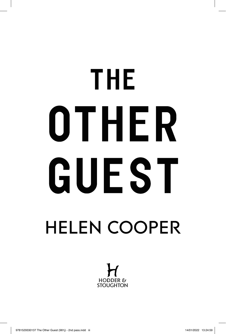# THE OTHER GUEST **HELEN COOPER**

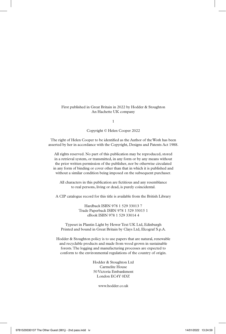### First published in Great Britain in 2022 by Hodder & Stoughton An Hachette UK company

1

Copyright © Helen Cooper 2022

The right of Helen Cooper to be identified as the Author of the Work has been asserted by her in accordance with the Copyright, Designs and Patents Act 1988.

All rights reserved. No part of this publication may be reproduced, stored in a retrieval system, or transmitted, in any form or by any means without the prior written permission of the publisher, nor be otherwise circulated in any form of binding or cover other than that in which it is published and without a similar condition being imposed on the subsequent purchaser.

All characters in this publication are fictitious and any resemblance to real persons, living or dead, is purely coincidental.

A CIP catalogue record for this title is available from the British Library

Hardback ISBN 978 1 529 33013 7 Trade Paperback ISBN 978 1 529 33015 1 eBook ISBN 978 1 529 33014 4

Typeset in Plantin Light by Hewer Text UK Ltd, Edinburgh Printed and bound in Great Britain by Clays Ltd, Elcograf S.p.A.

Hodder & Stoughton policy is to use papers that are natural, renewable and recyclable products and made from wood grown in sustainable forests. The logging and manufacturing processes are expected to conform to the environmental regulations of the country of origin.

> Hodder & Stoughton Ltd Carmelite House 50 Victoria Embankment London EC4Y 0DZ

> > www.hodder.co.uk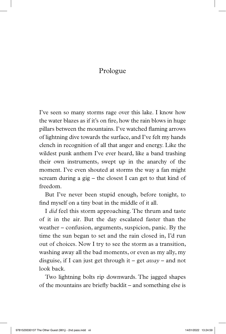# Prologue

I've seen so many storms rage over this lake. I know how the water blazes as if it's on fire, how the rain blows in huge pillars between the mountains. I've watched flaming arrows of lightning dive towards the surface, and I've felt my hands clench in recognition of all that anger and energy. Like the wildest punk anthem I've ever heard, like a band trashing their own instruments, swept up in the anarchy of the moment. I've even shouted at storms the way a fan might scream during a gig – the closest I can get to that kind of freedom.

But I've never been stupid enough, before tonight, to find myself on a tiny boat in the middle of it all.

I *did* feel this storm approaching. The thrum and taste of it in the air. But the day escalated faster than the weather – confusion, arguments, suspicion, panic. By the time the sun began to set and the rain closed in, I'd run out of choices. Now I try to see the storm as a transition, washing away all the bad moments, or even as my ally, my disguise, if I can just get through it – get *away* – and not look back.

Two lightning bolts rip downwards. The jagged shapes of the mountains are briefly backlit  $-$  and something else is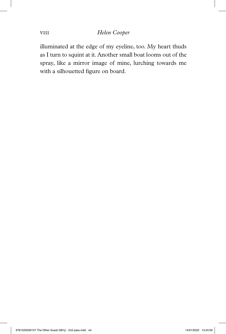illuminated at the edge of my eyeline, too. My heart thuds as I turn to squint at it. Another small boat looms out of the spray, like a mirror image of mine, lurching towards me with a silhouetted figure on board.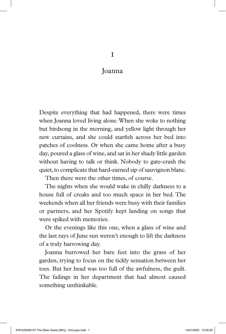### Joanna

Despite everything that had happened, there were times when Joanna loved living alone. When she woke to nothing but birdsong in the morning, and yellow light through her new curtains, and she could starfish across her bed into patches of coolness. Or when she came home after a busy day, poured a glass of wine, and sat in her shady little garden without having to talk or think. Nobody to gate-crash the quiet, to complicate that hard-earned sip of sauvignon blanc.

Then there were the other times, of course.

The nights when she would wake in chilly darkness to a house full of creaks and too much space in her bed. The weekends when all her friends were busy with their families or partners, and her Spotify kept landing on songs that were spiked with memories.

Or the evenings like this one, when a glass of wine and the last rays of June sun weren't enough to lift the darkness of a truly harrowing day.

Joanna burrowed her bare feet into the grass of her garden, trying to focus on the tickly sensation between her toes. But her head was too full of the awfulness, the guilt. The failings in her department that had almost caused something unthinkable.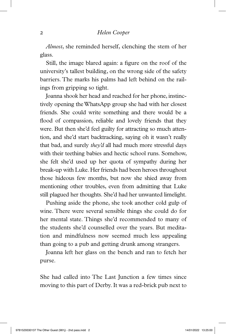### 2 *Helen Cooper*

*Almost*, she reminded herself, clenching the stem of her glass.

Still, the image blared again: a figure on the roof of the university's tallest building, on the wrong side of the safety barriers. The marks his palms had left behind on the railings from gripping so tight.

Joanna shook her head and reached for her phone, instinctively opening the WhatsApp group she had with her closest friends. She could write something and there would be a flood of compassion, reliable and lovely friends that they were. But then she'd feel guilty for attracting so much attention, and she'd start backtracking, saying oh it wasn't really that bad, and surely *they'd* all had much more stressful days with their teething babies and hectic school runs. Somehow, she felt she'd used up her quota of sympathy during her break-up with Luke. Her friends had been heroes throughout those hideous few months, but now she shied away from mentioning other troubles, even from admitting that Luke still plagued her thoughts. She'd had her unwanted limelight.

Pushing aside the phone, she took another cold gulp of wine. There were several sensible things she could do for her mental state. Things she'd recommended to many of the students she'd counselled over the years. But meditation and mindfulness now seemed much less appealing than going to a pub and getting drunk among strangers.

Joanna left her glass on the bench and ran to fetch her purse.

She had called into The Last Junction a few times since moving to this part of Derby. It was a red-brick pub next to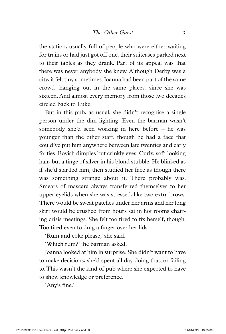the station, usually full of people who were either waiting for trains or had just got off one, their suitcases parked next to their tables as they drank. Part of its appeal was that there was never anybody she knew. Although Derby was a city, it felt tiny sometimes. Joanna had been part of the same crowd, hanging out in the same places, since she was sixteen. And almost every memory from those two decades circled back to Luke.

But in this pub, as usual, she didn't recognise a single person under the dim lighting. Even the barman wasn't somebody she'd seen working in here before – he was younger than the other staff, though he had a face that could've put him anywhere between late twenties and early forties. Boyish dimples but crinkly eyes. Curly, soft-looking hair, but a tinge of silver in his blond stubble. He blinked as if she'd startled him, then studied her face as though there was something strange about it. There probably was. Smears of mascara always transferred themselves to her upper eyelids when she was stressed, like two extra brows. There would be sweat patches under her arms and her long skirt would be crushed from hours sat in hot rooms chairing crisis meetings. She felt too tired to fix herself, though. Too tired even to drag a finger over her lids.

'Rum and coke please,' she said.

'Which rum?' the barman asked.

Joanna looked at him in surprise. She didn't want to have to make decisions; she'd spent all day doing that, or failing to. This wasn't the kind of pub where she expected to have to show knowledge or preference.

'Any's fine.'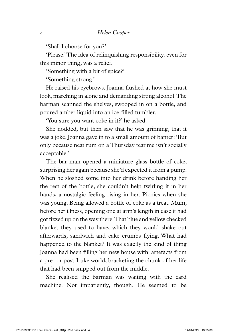'Shall I choose for you?'

'Please.' The idea of relinquishing responsibility, even for this minor thing, was a relief.

'Something with a bit of spice?'

'Something strong.'

He raised his eyebrows. Joanna flushed at how she must look, marching in alone and demanding strong alcohol. The barman scanned the shelves, swooped in on a bottle, and poured amber liquid into an ice-filled tumbler.

'You sure you want coke in it?' he asked.

She nodded, but then saw that he was grinning, that it was a joke. Joanna gave in to a small amount of banter: 'But only because neat rum on a Thursday teatime isn't socially acceptable.'

The bar man opened a miniature glass bottle of coke, surprising her again because she'd expected it from a pump. When he sloshed some into her drink before handing her the rest of the bottle, she couldn't help twirling it in her hands, a nostalgic feeling rising in her. Picnics when she was young. Being allowed a bottle of coke as a treat. Mum, before her illness, opening one at arm's length in case it had got fizzed up on the way there. That blue and yellow checked blanket they used to have, which they would shake out afterwards, sandwich and cake crumbs flying. What had happened to the blanket? It was exactly the kind of thing Joanna had been filling her new house with: artefacts from a pre- or post-Luke world, bracketing the chunk of her life that had been snipped out from the middle.

She realised the barman was waiting with the card machine. Not impatiently, though. He seemed to be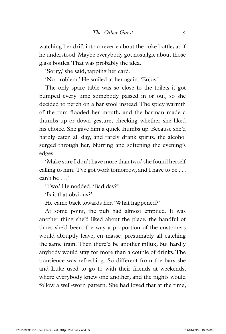watching her drift into a reverie about the coke bottle, as if he understood. Maybe everybody got nostalgic about those glass bottles. That was probably the idea.

'Sorry,' she said, tapping her card.

'No problem.' He smiled at her again. 'Enjoy.'

The only spare table was so close to the toilets it got bumped every time somebody passed in or out, so she decided to perch on a bar stool instead. The spicy warmth of the rum flooded her mouth, and the barman made a thumbs-up-or-down gesture, checking whether she liked his choice. She gave him a quick thumbs up. Because she'd hardly eaten all day, and rarely drank spirits, the alcohol surged through her, blurring and softening the evening's edges.

'Make sure I don't have more than two,' she found herself calling to him. Tve got work tomorrow, and I have to be ... can't be  $\cdot$  .

'Two.' He nodded. 'Bad day?'

'Is it that obvious?'

He came back towards her. 'What happened?'

At some point, the pub had almost emptied. It was another thing she'd liked about the place, the handful of times she'd been: the way a proportion of the customers would abruptly leave, en masse, presumably all catching the same train. Then there'd be another influx, but hardly anybody would stay for more than a couple of drinks. The transience was refreshing. So different from the bars she and Luke used to go to with their friends at weekends, where everybody knew one another, and the nights would follow a well-worn pattern. She had loved that at the time,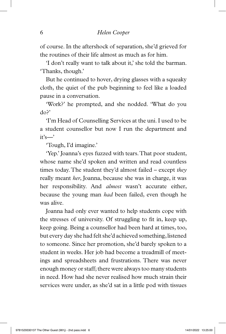of course. In the aftershock of separation, she'd grieved for the routines of their life almost as much as for him.

'I don't really want to talk about it,' she told the barman. 'Thanks, though.'

But he continued to hover, drying glasses with a squeaky cloth, the quiet of the pub beginning to feel like a loaded pause in a conversation.

'Work?' he prompted, and she nodded. 'What do you do?'

'I'm Head of Counselling Services at the uni. I used to be a student counsellor but now I run the department and  $it's$ —'

'Tough, I'd imagine.'

'Yep.' Joanna's eyes fuzzed with tears. That poor student, whose name she'd spoken and written and read countless times today. The student they'd almost failed – except *they* really meant *her*, Joanna, because she was in charge, it was her responsibility. And *almost* wasn't accurate either, because the young man *had* been failed, even though he was alive.

Joanna had only ever wanted to help students cope with the stresses of university. Of struggling to fit in, keep up, keep going. Being a counsellor had been hard at times, too, but every day she had felt she'd achieved something, listened to someone. Since her promotion, she'd barely spoken to a student in weeks. Her job had become a treadmill of meetings and spreadsheets and frustrations. There was never enough money or staff; there were always too many students in need. How had she never realised how much strain their services were under, as she'd sat in a little pod with tissues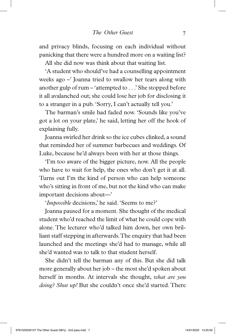and privacy blinds, focusing on each individual without panicking that there were a hundred more on a waiting list?

All she did now was think about that waiting list.

'A student who should've had a counselling appointment weeks ago –' Joanna tried to swallow her tears along with another gulp of rum – 'attempted to . . .' She stopped before it all avalanched out; she could lose her job for disclosing it to a stranger in a pub. 'Sorry, I can't actually tell you.'

The barman's smile had faded now. 'Sounds like you've got a lot on your plate,' he said, letting her off the hook of explaining fully.

Joanna swirled her drink so the ice cubes clinked, a sound that reminded her of summer barbecues and weddings. Of Luke, because he'd always been with her at those things.

'I'm too aware of the bigger picture, now. All the people who have to wait for help, the ones who don't get it at all. Turns out I'm the kind of person who can help someone who's sitting in front of me, but not the kind who can make important decisions about—'

'*Impossible* decisions,' he said. 'Seems to me?'

Joanna paused for a moment. She thought of the medical student who'd reached the limit of what he could cope with alone. The lecturer who'd talked him down, her own brilliant staff stepping in afterwards. The enquiry that had been launched and the meetings she'd had to manage, while all she'd wanted was to talk to that student herself.

She didn't tell the barman any of this. But she did talk more generally about her job – the most she'd spoken about herself in months. At intervals she thought, *what are you doing? Shut up!* But she couldn't once she'd started. There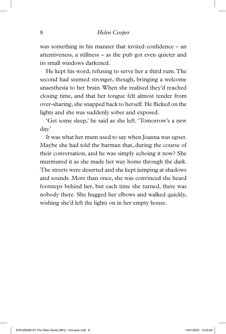was something in his manner that invited confidence  $-$  an attentiveness, a stillness – as the pub got even quieter and its small windows darkened.

He kept his word, refusing to serve her a third rum. The second had seemed stronger, though, bringing a welcome anaesthesia to her brain. When she realised they'd reached closing time, and that her tongue felt almost tender from over-sharing, she snapped back to herself. He flicked on the lights and she was suddenly sober and exposed.

'Get some sleep,' he said as she left. 'Tomorrow's a new day.'

It was what her mum used to say when Joanna was upset. Maybe she had told the barman that, during the course of their conversation, and he was simply echoing it now? She murmured it as she made her way home through the dark. The streets were deserted and she kept jumping at shadows and sounds. More than once, she was convinced she heard footsteps behind her, but each time she turned, there was nobody there. She hugged her elbows and walked quickly, wishing she'd left the lights on in her empty house.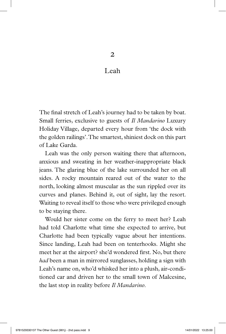## Leah

The final stretch of Leah's journey had to be taken by boat. Small ferries, exclusive to guests of *Il Mandarino* Luxury Holiday Village, departed every hour from 'the dock with the golden railings'. The smartest, shiniest dock on this part of Lake Garda.

Leah was the only person waiting there that afternoon, anxious and sweating in her weather-inappropriate black jeans. The glaring blue of the lake surrounded her on all sides. A rocky mountain reared out of the water to the north, looking almost muscular as the sun rippled over its curves and planes. Behind it, out of sight, lay the resort. Waiting to reveal itself to those who were privileged enough to be staying there.

Would her sister come on the ferry to meet her? Leah had told Charlotte what time she expected to arrive, but Charlotte had been typically vague about her intentions. Since landing, Leah had been on tenterhooks. Might she meet her at the airport? she'd wondered first. No, but there *had* been a man in mirrored sunglasses, holding a sign with Leah's name on, who'd whisked her into a plush, air-conditioned car and driven her to the small town of Malcesine, the last stop in reality before *Il Mandarino*.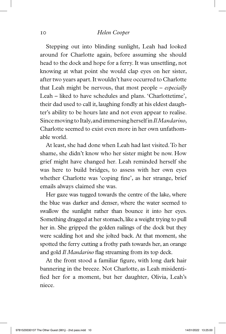### 10 *Helen Cooper*

Stepping out into blinding sunlight, Leah had looked around for Charlotte again, before assuming she should head to the dock and hope for a ferry. It was unsettling, not knowing at what point she would clap eyes on her sister, after two years apart. It wouldn't have occurred to Charlotte that Leah might be nervous, that most people – *especially* Leah – liked to have schedules and plans. 'Charlottetime', their dad used to call it, laughing fondly at his eldest daughter's ability to be hours late and not even appear to realise. Since moving to Italy, and immersing herself in *Il Mandarino*, Charlotte seemed to exist even more in her own unfathomable world.

At least, she had done when Leah had last visited. To her shame, she didn't know who her sister might be now. How grief might have changed her. Leah reminded herself she was here to build bridges, to assess with her own eyes whether Charlotte was 'coping fine', as her strange, brief emails always claimed she was.

Her gaze was tugged towards the centre of the lake, where the blue was darker and denser, where the water seemed to swallow the sunlight rather than bounce it into her eyes. Something dragged at her stomach, like a weight trying to pull her in. She gripped the golden railings of the dock but they were scalding hot and she jolted back. At that moment, she spotted the ferry cutting a frothy path towards her, an orange and gold *Il Mandarino* flag streaming from its top deck.

At the front stood a familiar figure, with long dark hair bannering in the breeze. Not Charlotte, as Leah misidentified her for a moment, but her daughter, Olivia, Leah's niece.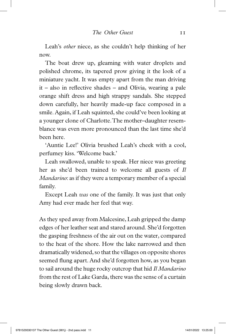Leah's *other* niece, as she couldn't help thinking of her now.

The boat drew up, gleaming with water droplets and polished chrome, its tapered prow giving it the look of a miniature yacht. It was empty apart from the man driving  $it$  – also in reflective shades – and Olivia, wearing a pale orange shift dress and high strappy sandals. She stepped down carefully, her heavily made-up face composed in a smile. Again, if Leah squinted, she could've been looking at a younger clone of Charlotte. The mother–daughter resemblance was even more pronounced than the last time she'd been here.

'Auntie Lee!' Olivia brushed Leah's cheek with a cool, perfumey kiss. 'Welcome back.'

Leah swallowed, unable to speak. Her niece was greeting her as she'd been trained to welcome all guests of *Il Mandarino*: as if they were a temporary member of a special family.

Except Leah *was* one of the family. It was just that only Amy had ever made her feel that way.

As they sped away from Malcesine, Leah gripped the damp edges of her leather seat and stared around. She'd forgotten the gasping freshness of the air out on the water, compared to the heat of the shore. How the lake narrowed and then dramatically widened, so that the villages on opposite shores seemed flung apart. And she'd forgotten how, as you began to sail around the huge rocky outcrop that hid *Il Mandarino*  from the rest of Lake Garda, there was the sense of a curtain being slowly drawn back.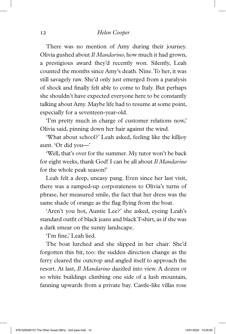There was no mention of Amy during their journey. Olivia gushed about *Il Mandarino*, how much it had grown, a prestigious award they'd recently won. Silently, Leah counted the months since Amy's death. Nine. To her, it was still savagely raw. She'd only just emerged from a paralysis of shock and finally felt able to come to Italy. But perhaps she shouldn't have expected everyone here to be constantly talking about Amy. Maybe life had to resume at some point, especially for a seventeen-year-old.

'I'm pretty much in charge of customer relations now,' Olivia said, pinning down her hair against the wind.

'What about school?' Leah asked, feeling like the killjoy aunt. 'Or did you—'

'Well, that's over for the summer. My tutor won't be back for eight weeks, thank God! I can be all about *Il Mandarino* for the whole peak season!'

Leah felt a deep, uneasy pang. Even since her last visit, there was a ramped-up corporateness to Olivia's turns of phrase, her measured smile, the fact that her dress was the same shade of orange as the flag flying from the boat.

'Aren't you hot, Auntie Lee?' she asked, eyeing Leah's standard outfit of black jeans and black T-shirt, as if she was a dark smear on the sunny landscape.

'I'm fine,' Leah lied.

The boat lurched and she slipped in her chair. She'd forgotten this bit, too: the sudden direction change as the ferry cleared the outcrop and angled itself to approach the resort. At last, *Il Mandarino* dazzled into view. A dozen or so white buildings climbing one side of a lush mountain, fanning upwards from a private bay. Castle-like villas rose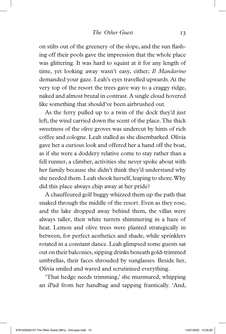on stilts out of the greenery of the slope, and the sun flashing off their pools gave the impression that the whole place was glittering. It was hard to squint at it for any length of time, yet looking away wasn't easy, either; *Il Mandarino* demanded your gaze. Leah's eyes travelled upwards. At the very top of the resort the trees gave way to a craggy ridge, naked and almost brutal in contrast. A single cloud hovered like something that should've been airbrushed out.

As the ferry pulled up to a twin of the dock they'd just left, the wind carried down the scent of the place. The thick sweetness of the olive groves was undercut by hints of rich coffee and cologne. Leah stalled as she disembarked. Olivia gave her a curious look and offered her a hand off the boat, as if she were a doddery relative come to stay rather than a fell runner, a climber, activities she never spoke about with her family because she didn't think they'd understand why she needed them. Leah shook herself, leaping to shore. Why did this place always chip away at her pride?

A chauffeured golf buggy whizzed them up the path that snaked through the middle of the resort. Even as they rose, and the lake dropped away behind them, the villas were always taller, their white turrets shimmering in a haze of heat. Lemon and olive trees were planted strategically in between, for perfect aesthetics and shade, while sprinklers rotated in a constant dance. Leah glimpsed some guests sat out on their balconies, sipping drinks beneath gold-trimmed umbrellas, their faces shrouded by sunglasses. Beside her, Olivia smiled and waved and scrutinised everything.

'That hedge needs trimming,' she murmured, whipping an iPad from her handbag and tapping frantically. 'And,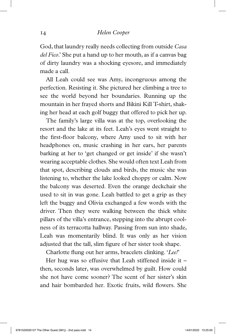God, that laundry really needs collecting from outside *Casa del Fico*.' She put a hand up to her mouth, as if a canvas bag of dirty laundry was a shocking eyesore, and immediately made a call.

All Leah could see was Amy, incongruous among the perfection. Resisting it. She pictured her climbing a tree to see the world beyond her boundaries. Running up the mountain in her frayed shorts and Bikini Kill T-shirt, shaking her head at each golf buggy that offered to pick her up.

The family's large villa was at the top, overlooking the resort and the lake at its feet. Leah's eyes went straight to the first-floor balcony, where Amy used to sit with her headphones on, music crashing in her ears, her parents barking at her to 'get changed or get inside' if she wasn't wearing acceptable clothes. She would often text Leah from that spot, describing clouds and birds, the music she was listening to, whether the lake looked choppy or calm. Now the balcony was deserted. Even the orange deckchair she used to sit in was gone. Leah battled to get a grip as they left the buggy and Olivia exchanged a few words with the driver. Then they were walking between the thick white pillars of the villa's entrance, stepping into the abrupt coolness of its terracotta hallway. Passing from sun into shade, Leah was momentarily blind. It was only as her vision adjusted that the tall, slim figure of her sister took shape.

Charlotte flung out her arms, bracelets clinking. '*Lee!*'

Her hug was so effusive that Leah stiffened inside it – then, seconds later, was overwhelmed by guilt. How could she not have come sooner? The scent of her sister's skin and hair bombarded her. Exotic fruits, wild flowers. She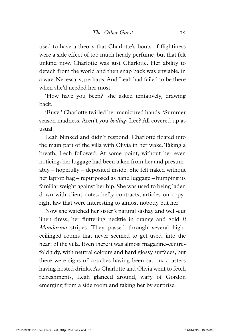used to have a theory that Charlotte's bouts of flightiness were a side effect of too much heady perfume, but that felt unkind now. Charlotte was just Charlotte. Her ability to detach from the world and then snap back was enviable, in a way. Necessary, perhaps. And Leah had failed to be there when she'd needed her most.

'How have you been?' she asked tentatively, drawing back.

'Busy!' Charlotte twirled her manicured hands. 'Summer season madness. Aren't you *boiling*, Lee? All covered up as usual!'

Leah blinked and didn't respond. Charlotte floated into the main part of the villa with Olivia in her wake. Taking a breath, Leah followed. At some point, without her even noticing, her luggage had been taken from her and presumably – hopefully – deposited inside. She felt naked without her laptop bag – repurposed as hand luggage – bumping its familiar weight against her hip. She was used to being laden down with client notes, hefty contracts, articles on copyright law that were interesting to almost nobody but her.

Now she watched her sister's natural sashay and well-cut linen dress, her fluttering necktie in orange and gold *Il Mandarino* stripes. They passed through several highceilinged rooms that never seemed to get used, into the heart of the villa. Even there it was almost magazine-centrefold tidy, with neutral colours and hard glossy surfaces, but there were signs of couches having been sat on, coasters having hosted drinks. As Charlotte and Olivia went to fetch refreshments, Leah glanced around, wary of Gordon emerging from a side room and taking her by surprise.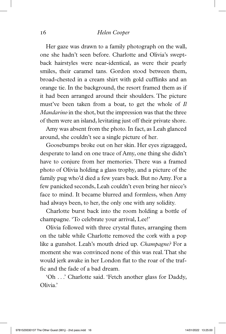### 16 *Helen Cooper*

Her gaze was drawn to a family photograph on the wall, one she hadn't seen before. Charlotte and Olivia's sweptback hairstyles were near-identical, as were their pearly smiles, their caramel tans. Gordon stood between them, broad-chested in a cream shirt with gold cufflinks and an orange tie. In the background, the resort framed them as if it had been arranged around their shoulders. The picture must've been taken from a boat, to get the whole of *Il Mandarino* in the shot, but the impression was that the three of them were an island, levitating just off their private shore.

Amy was absent from the photo. In fact, as Leah glanced around, she couldn't see a single picture of her.

Goosebumps broke out on her skin. Her eyes zigzagged, desperate to land on one trace of Amy, one thing she didn't have to conjure from her memories. There was a framed photo of Olivia holding a glass trophy, and a picture of the family pug who'd died a few years back. But no Amy. For a few panicked seconds, Leah couldn't even bring her niece's face to mind. It became blurred and formless, when Amy had always been, to her, the only one with any solidity.

Charlotte burst back into the room holding a bottle of champagne. 'To celebrate your arrival, Lee!'

Olivia followed with three crystal flutes, arranging them on the table while Charlotte removed the cork with a pop like a gunshot. Leah's mouth dried up. *Champagne?* For a moment she was convinced none of this was real. That she would jerk awake in her London flat to the roar of the traffic and the fade of a bad dream.

'Oh . . .' Charlotte said. 'Fetch another glass for Daddy, Olivia.'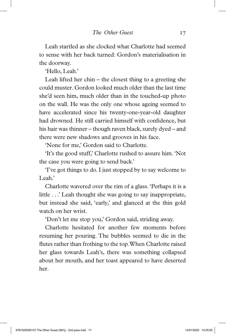Leah startled as she clocked what Charlotte had seemed to sense with her back turned: Gordon's materialisation in the doorway.

'Hello, Leah.'

Leah lifted her chin – the closest thing to a greeting she could muster. Gordon looked much older than the last time she'd seen him, much older than in the touched-up photo on the wall. He was the only one whose ageing seemed to have accelerated since his twenty-one-year-old daughter had drowned. He still carried himself with confidence, but his hair was thinner – though raven black, surely dyed – and there were new shadows and grooves in his face.

'None for me,' Gordon said to Charlotte.

'It's the good stuff,' Charlotte rushed to assure him. 'Not the case you were going to send back.'

'I've got things to do. I just stopped by to say welcome to Leah.'

Charlotte wavered over the rim of a glass. 'Perhaps it is a little . . .' Leah thought she was going to say inappropriate, but instead she said, 'early,' and glanced at the thin gold watch on her wrist.

'Don't let me stop you,' Gordon said, striding away.

Charlotte hesitated for another few moments before resuming her pouring. The bubbles seemed to die in the flutes rather than frothing to the top. When Charlotte raised her glass towards Leah's, there was something collapsed about her mouth, and her toast appeared to have deserted her.